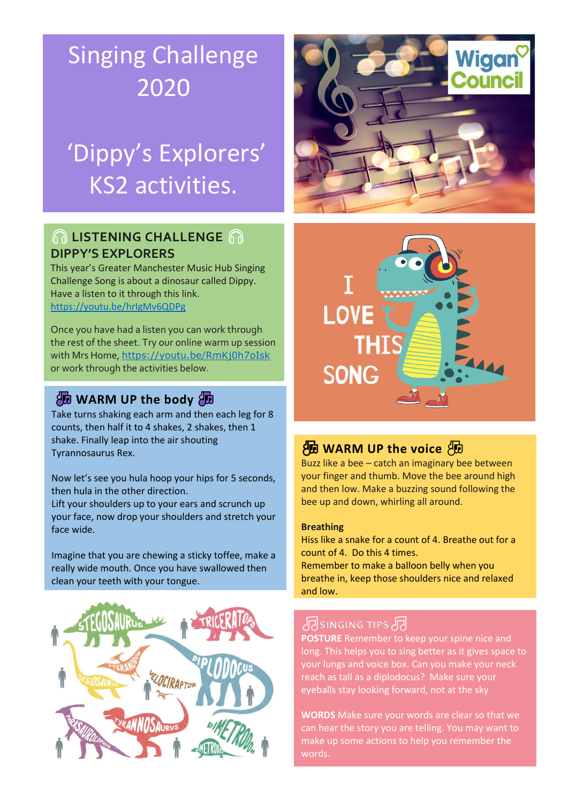## Singing Challenge 2020

## 'Dippy's Explorers' KS2 activities.

### **LISTENING CHALLENGE DIPPY'S EXPLORERS**

This year's Greater Manchester Music Hub Singing Challenge Song is about a dinosaur called Dippy. Have a listen to it through this link. <https://youtu.be/hrIgMv6QDPg>

Once you have had a listen you can work through the rest of the sheet. Try our online warm up session with Mrs Home, <https://youtu.be/RmKj0h7oIsk> or work through the activities below.

### **AD WARM UP the body AD**

Take turns shaking each arm and then each leg for 8 counts, then half it to 4 shakes, 2 shakes, then 1 shake. Finally leap into the air shouting Tyrannosaurus Rex.

Now let's see you hula hoop your hips for 5 seconds, then hula in the other direction.

Lift your shoulders up to your ears and scrunch up your face, now drop your shoulders and stretch your face wide.

Imagine that you are chewing a sticky toffee, make a really wide mouth. Once you have swallowed then clean your teeth with your tongue.







## **AD WARM UP the voice AD**

Buzz like a bee – catch an imaginary bee between your finger and thumb. Move the bee around high and then low. Make a buzzing sound following the bee up and down, whirling all around.

### **Breathing**

Hiss like a snake for a count of 4. Breathe out for a count of 4. Do this 4 times.

Remember to make a balloon belly when you breathe in, keep those shoulders nice and relaxed and low.

## **SINGING TIPS**

**POSTURE** Remember to keep your spine nice and long. This helps you to sing better as it gives space to your lungs and voice box. Can you make your neck reach as tall as a diplodocus? Make sure your eyeballs stay looking forward, not at the sky

**WORDS** Make sure your words are clear so that we can hear the story you are telling. You may want to make up some actions to help you remember the words.